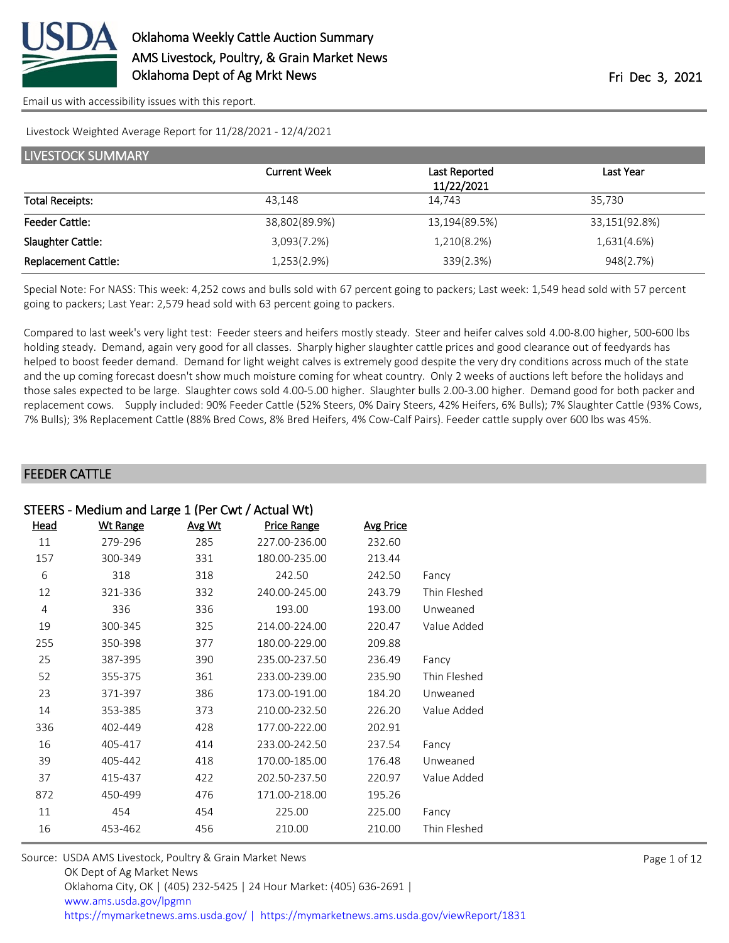

[Email us with accessibility issues with this report.](mailto:mars@ams.usda.gov?subject=508%20issue)

#### Livestock Weighted Average Report for 11/28/2021 - 12/4/2021

| <b>LIVESTOCK SUMMARY</b>   |                     |               |               |  |  |  |
|----------------------------|---------------------|---------------|---------------|--|--|--|
|                            | <b>Current Week</b> | Last Reported | Last Year     |  |  |  |
|                            |                     | 11/22/2021    |               |  |  |  |
| <b>Total Receipts:</b>     | 43.148              | 14.743        | 35.730        |  |  |  |
| <b>Feeder Cattle:</b>      | 38,802(89.9%)       | 13,194(89.5%) | 33,151(92.8%) |  |  |  |
| Slaughter Cattle:          | 3,093(7.2%)         | 1,210(8.2%)   | 1,631(4.6%)   |  |  |  |
| <b>Replacement Cattle:</b> | 1,253(2.9%)         | 339(2.3%)     | 948(2.7%)     |  |  |  |

Special Note: For NASS: This week: 4,252 cows and bulls sold with 67 percent going to packers; Last week: 1,549 head sold with 57 percent going to packers; Last Year: 2,579 head sold with 63 percent going to packers.

Compared to last week's very light test: Feeder steers and heifers mostly steady. Steer and heifer calves sold 4.00-8.00 higher, 500-600 lbs holding steady. Demand, again very good for all classes. Sharply higher slaughter cattle prices and good clearance out of feedyards has helped to boost feeder demand. Demand for light weight calves is extremely good despite the very dry conditions across much of the state and the up coming forecast doesn't show much moisture coming for wheat country. Only 2 weeks of auctions left before the holidays and those sales expected to be large. Slaughter cows sold 4.00-5.00 higher. Slaughter bulls 2.00-3.00 higher. Demand good for both packer and replacement cows. Supply included: 90% Feeder Cattle (52% Steers, 0% Dairy Steers, 42% Heifers, 6% Bulls); 7% Slaughter Cattle (93% Cows, 7% Bulls); 3% Replacement Cattle (88% Bred Cows, 8% Bred Heifers, 4% Cow-Calf Pairs). Feeder cattle supply over 600 lbs was 45%.

#### FEEDER CATTLE

| STEERS - Medium and Large 1 (Per Cwt / Actual Wt) |        |                    |                  |              |  |  |  |
|---------------------------------------------------|--------|--------------------|------------------|--------------|--|--|--|
| <u>Wt Range</u>                                   | Avg Wt | <b>Price Range</b> | <b>Avg Price</b> |              |  |  |  |
| 279-296                                           | 285    | 227.00-236.00      | 232.60           |              |  |  |  |
| 300-349                                           | 331    | 180.00-235.00      | 213.44           |              |  |  |  |
| 318                                               | 318    | 242.50             | 242.50           | Fancy        |  |  |  |
| 321-336                                           | 332    | 240.00-245.00      | 243.79           | Thin Fleshed |  |  |  |
| 336                                               | 336    | 193.00             | 193.00           | Unweaned     |  |  |  |
| 300-345                                           | 325    | 214.00-224.00      | 220.47           | Value Added  |  |  |  |
| 350-398                                           | 377    | 180.00-229.00      | 209.88           |              |  |  |  |
| 387-395                                           | 390    | 235.00-237.50      | 236.49           | Fancy        |  |  |  |
| 355-375                                           | 361    | 233.00-239.00      | 235.90           | Thin Fleshed |  |  |  |
| 371-397                                           | 386    | 173.00-191.00      | 184.20           | Unweaned     |  |  |  |
| 353-385                                           | 373    | 210.00-232.50      | 226.20           | Value Added  |  |  |  |
| 402-449                                           | 428    | 177.00-222.00      | 202.91           |              |  |  |  |
| 405-417                                           | 414    | 233.00-242.50      | 237.54           | Fancy        |  |  |  |
| 405-442                                           | 418    | 170.00-185.00      | 176.48           | Unweaned     |  |  |  |
| 415-437                                           | 422    | 202.50-237.50      | 220.97           | Value Added  |  |  |  |
| 450-499                                           | 476    | 171.00-218.00      | 195.26           |              |  |  |  |
| 454                                               | 454    | 225.00             | 225.00           | Fancy        |  |  |  |
| 453-462                                           | 456    | 210.00             | 210.00           | Thin Fleshed |  |  |  |
|                                                   |        |                    |                  |              |  |  |  |

| Source: USDA AMS Livestock, Poultry & Grain Market News                                |  |
|----------------------------------------------------------------------------------------|--|
| OK Dept of Ag Market News                                                              |  |
| Oklahoma City, OK   (405) 232-5425   24 Hour Market: (405) 636-2691                    |  |
| www.ams.usda.gov/lpgmn                                                                 |  |
| https://mymarketnews.ams.usda.gov/   https://mymarketnews.ams.usda.gov/viewReport/1831 |  |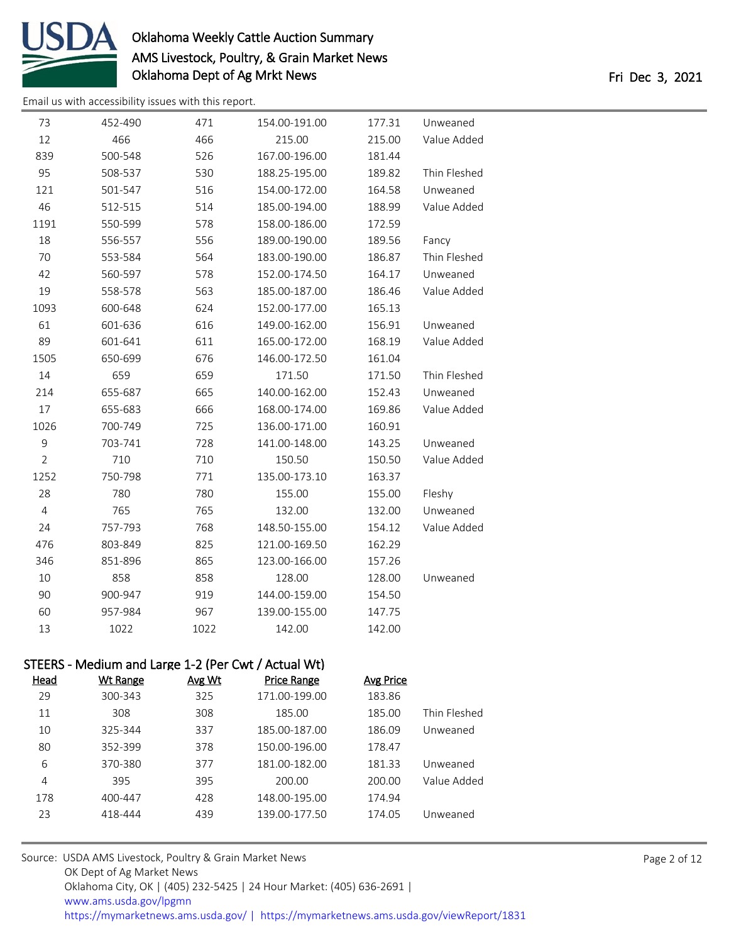

| 73             | 452-490                                             | 471    | 154.00-191.00      | 177.31           | Unweaned     |
|----------------|-----------------------------------------------------|--------|--------------------|------------------|--------------|
| 12             | 466                                                 | 466    | 215.00             | 215.00           | Value Added  |
| 839            | 500-548                                             | 526    | 167.00-196.00      | 181.44           |              |
| 95             | 508-537                                             | 530    | 188.25-195.00      | 189.82           | Thin Fleshed |
| 121            | 501-547                                             | 516    | 154.00-172.00      | 164.58           | Unweaned     |
| 46             | 512-515                                             | 514    | 185.00-194.00      | 188.99           | Value Added  |
| 1191           | 550-599                                             | 578    | 158.00-186.00      | 172.59           |              |
| 18             | 556-557                                             | 556    | 189.00-190.00      | 189.56           | Fancy        |
| 70             | 553-584                                             | 564    | 183.00-190.00      | 186.87           | Thin Fleshed |
| 42             | 560-597                                             | 578    | 152.00-174.50      | 164.17           | Unweaned     |
| 19             | 558-578                                             | 563    | 185.00-187.00      | 186.46           | Value Added  |
| 1093           | 600-648                                             | 624    | 152.00-177.00      | 165.13           |              |
| 61             | 601-636                                             | 616    | 149.00-162.00      | 156.91           | Unweaned     |
| 89             | 601-641                                             | 611    | 165.00-172.00      | 168.19           | Value Added  |
| 1505           | 650-699                                             | 676    | 146.00-172.50      | 161.04           |              |
| 14             | 659                                                 | 659    | 171.50             | 171.50           | Thin Fleshed |
| 214            | 655-687                                             | 665    | 140.00-162.00      | 152.43           | Unweaned     |
| 17             | 655-683                                             | 666    | 168.00-174.00      | 169.86           | Value Added  |
| 1026           | 700-749                                             | 725    | 136.00-171.00      | 160.91           |              |
| 9              | 703-741                                             | 728    | 141.00-148.00      | 143.25           | Unweaned     |
| $\overline{2}$ | 710                                                 | 710    | 150.50             | 150.50           | Value Added  |
| 1252           | 750-798                                             | 771    | 135.00-173.10      | 163.37           |              |
| 28             | 780                                                 | 780    | 155.00             | 155.00           | Fleshy       |
| $\overline{4}$ | 765                                                 | 765    | 132.00             | 132.00           | Unweaned     |
| 24             | 757-793                                             | 768    | 148.50-155.00      | 154.12           | Value Added  |
| 476            | 803-849                                             | 825    | 121.00-169.50      | 162.29           |              |
| 346            | 851-896                                             | 865    | 123.00-166.00      | 157.26           |              |
| 10             | 858                                                 | 858    | 128.00             | 128.00           | Unweaned     |
| 90             | 900-947                                             | 919    | 144.00-159.00      | 154.50           |              |
| 60             | 957-984                                             | 967    | 139.00-155.00      | 147.75           |              |
| 13             | 1022                                                | 1022   | 142.00             | 142.00           |              |
|                |                                                     |        |                    |                  |              |
|                | STEERS - Medium and Large 1-2 (Per Cwt / Actual Wt) |        |                    |                  |              |
| <b>Head</b>    | <b>Wt Range</b>                                     | Avg Wt | <b>Price Range</b> | <b>Avg Price</b> |              |
| 29             | 300-343                                             | 325    | 171.00-199.00      | 183.86           |              |
| 11             | 308                                                 | 308    | 185.00             | 185.00           | Thin Fleshed |
| 10             | 325-344                                             | 337    | 185.00-187.00      | 186.09           | Unweaned     |
| 80             | 352-399                                             | 378    | 150.00-196.00      | 178.47           |              |
| 6              | 370-380                                             | 377    | 181.00-182.00      | 181.33           | Unweaned     |
| 4              | 395                                                 | 395    | 200.00             | 200.00           | Value Added  |
| 178            | 400-447                                             | 428    | 148.00-195.00      | 174.94           |              |
| 23             | 418-444                                             | 439    | 139.00-177.50      | 174.05           | Unweaned     |
|                |                                                     |        |                    |                  |              |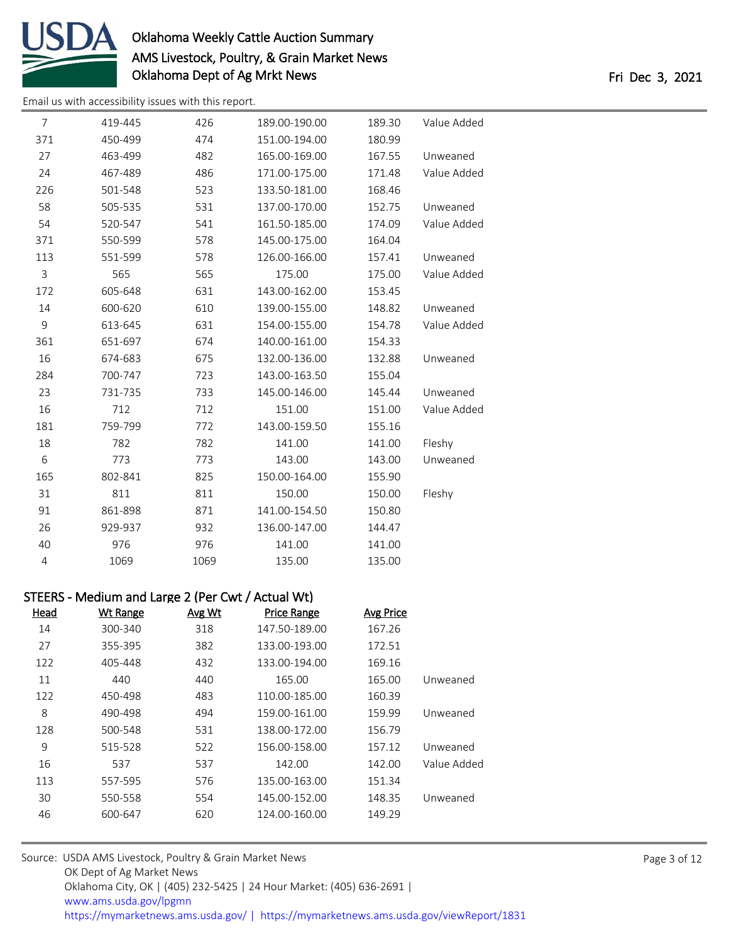

| 7   | 419-445 | 426  | 189.00-190.00 | 189.30 | Value Added |
|-----|---------|------|---------------|--------|-------------|
| 371 | 450-499 | 474  | 151.00-194.00 | 180.99 |             |
| 27  | 463-499 | 482  | 165.00-169.00 | 167.55 | Unweaned    |
| 24  | 467-489 | 486  | 171.00-175.00 | 171.48 | Value Added |
| 226 | 501-548 | 523  | 133.50-181.00 | 168.46 |             |
| 58  | 505-535 | 531  | 137.00-170.00 | 152.75 | Unweaned    |
| 54  | 520-547 | 541  | 161.50-185.00 | 174.09 | Value Added |
| 371 | 550-599 | 578  | 145.00-175.00 | 164.04 |             |
| 113 | 551-599 | 578  | 126.00-166.00 | 157.41 | Unweaned    |
| 3   | 565     | 565  | 175.00        | 175.00 | Value Added |
| 172 | 605-648 | 631  | 143.00-162.00 | 153.45 |             |
| 14  | 600-620 | 610  | 139.00-155.00 | 148.82 | Unweaned    |
| 9   | 613-645 | 631  | 154.00-155.00 | 154.78 | Value Added |
| 361 | 651-697 | 674  | 140.00-161.00 | 154.33 |             |
| 16  | 674-683 | 675  | 132.00-136.00 | 132.88 | Unweaned    |
| 284 | 700-747 | 723  | 143.00-163.50 | 155.04 |             |
| 23  | 731-735 | 733  | 145.00-146.00 | 145.44 | Unweaned    |
| 16  | 712     | 712  | 151.00        | 151.00 | Value Added |
| 181 | 759-799 | 772  | 143.00-159.50 | 155.16 |             |
| 18  | 782     | 782  | 141.00        | 141.00 | Fleshy      |
| 6   | 773     | 773  | 143.00        | 143.00 | Unweaned    |
| 165 | 802-841 | 825  | 150.00-164.00 | 155.90 |             |
| 31  | 811     | 811  | 150.00        | 150.00 | Fleshy      |
| 91  | 861-898 | 871  | 141.00-154.50 | 150.80 |             |
| 26  | 929-937 | 932  | 136.00-147.00 | 144.47 |             |
| 40  | 976     | 976  | 141.00        | 141.00 |             |
| 4   | 1069    | 1069 | 135.00        | 135.00 |             |
|     |         |      |               |        |             |

| STEERS - Medium and Large 2 (Per Cwt / Actual Wt) |                  |                    |        |                 |      |  |
|---------------------------------------------------|------------------|--------------------|--------|-----------------|------|--|
|                                                   | <b>Avg Price</b> | <b>Price Range</b> | Avg Wt | <b>Wt Range</b> | Head |  |
|                                                   | 167.26           | 147.50-189.00      | 318    | 300-340         | 14   |  |
|                                                   | 172.51           | 133.00-193.00      | 382    | 355-395         | 27   |  |
|                                                   | 169.16           | 133.00-194.00      | 432    | 405-448         | 122  |  |
| Unweaned                                          | 165.00           | 165.00             | 440    | 440             | 11   |  |
|                                                   | 160.39           | 110.00-185.00      | 483    | 450-498         | 122  |  |
| Unweaned                                          | 159.99           | 159.00-161.00      | 494    | 490-498         | 8    |  |
|                                                   | 156.79           | 138.00-172.00      | 531    | 500-548         | 128  |  |
| Unweaned                                          | 157.12           | 156.00-158.00      | 522    | 515-528         | 9    |  |
| Value Added                                       | 142.00           | 142.00             | 537    | 537             | 16   |  |
|                                                   | 151.34           | 135.00-163.00      | 576    | 557-595         | 113  |  |
| Unweaned                                          | 148.35           | 145.00-152.00      | 554    | 550-558         | 30   |  |
|                                                   | 149.29           | 124.00-160.00      | 620    | 600-647         | 46   |  |
|                                                   |                  |                    |        |                 |      |  |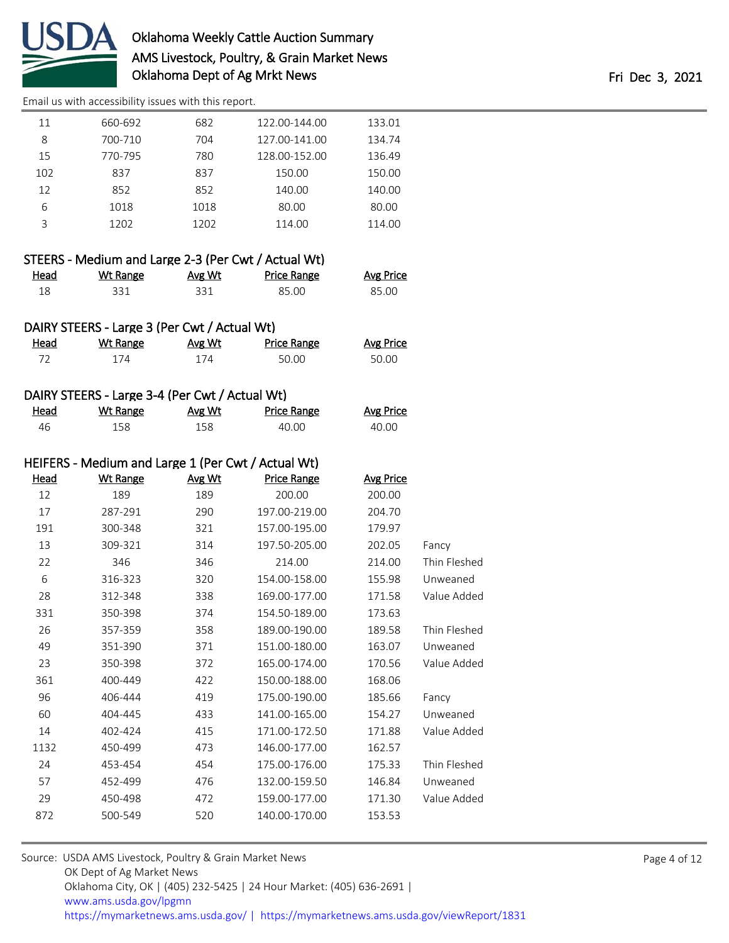

[Email us with accessibility issues with this report.](mailto:mars@ams.usda.gov?subject=508%20issue)

| 11  | 660-692 | 682  | 122.00-144.00 | 133.01 |
|-----|---------|------|---------------|--------|
| 8   | 700-710 | 704  | 127.00-141.00 | 134.74 |
| 15  | 770-795 | 780  | 128.00-152.00 | 136.49 |
| 102 | 837     | 837  | 150.00        | 150.00 |
| 12  | 852     | 852  | 140.00        | 140.00 |
| 6   | 1018    | 1018 | 80.00         | 80.00  |
| ς   | 1202    | 1202 | 114.00        | 114.00 |
|     |         |      |               |        |

|             | STEERS - Medium and Large 2-3 (Per Cwt / Actual Wt) |        |             |                  |
|-------------|-----------------------------------------------------|--------|-------------|------------------|
| <u>Head</u> | Wt Range                                            | Avg Wt | Price Range | <b>Avg Price</b> |
| 18          | 331                                                 | 331    | 85.00       | 85.00            |

|      | DAIRY STEERS - Large 3 (Per Cwt / Actual Wt) |        |             |                  |
|------|----------------------------------------------|--------|-------------|------------------|
| Head | Wt Range                                     | Avg Wt | Price Range | <b>Avg Price</b> |
| 72   | 174                                          | 174    | 50.00       | 50.00            |

### DAIRY STEERS - Large 3-4 (Per Cwt / Actual Wt)

| <u>Head</u> | <u>Wt Range</u> | <u>Avg Wt</u> | Price Range | <b>Avg Price</b> |
|-------------|-----------------|---------------|-------------|------------------|
| -46         | 158             | 158           | 40.00       | 40.00            |

#### HEIFERS - Medium and Large 1 (Per Cwt / Actual Wt)

| Head | <b>Wt Range</b> | Avg Wt | <b>Price Range</b> | <b>Avg Price</b> |              |
|------|-----------------|--------|--------------------|------------------|--------------|
| 12   | 189             | 189    | 200.00             | 200.00           |              |
| 17   | 287-291         | 290    | 197.00-219.00      | 204.70           |              |
| 191  | 300-348         | 321    | 157.00-195.00      | 179.97           |              |
| 13   | 309-321         | 314    | 197.50-205.00      | 202.05           | Fancy        |
| 22   | 346             | 346    | 214.00             | 214.00           | Thin Fleshed |
| 6    | 316-323         | 320    | 154.00-158.00      | 155.98           | Unweaned     |
| 28   | 312-348         | 338    | 169.00-177.00      | 171.58           | Value Added  |
| 331  | 350-398         | 374    | 154.50-189.00      | 173.63           |              |
| 26   | 357-359         | 358    | 189.00-190.00      | 189.58           | Thin Fleshed |
| 49   | 351-390         | 371    | 151.00-180.00      | 163.07           | Unweaned     |
| 23   | 350-398         | 372    | 165.00-174.00      | 170.56           | Value Added  |
| 361  | 400-449         | 422    | 150.00-188.00      | 168.06           |              |
| 96   | 406-444         | 419    | 175.00-190.00      | 185.66           | Fancy        |
| 60   | 404-445         | 433    | 141.00-165.00      | 154.27           | Unweaned     |
| 14   | 402-424         | 415    | 171.00-172.50      | 171.88           | Value Added  |
| 1132 | 450-499         | 473    | 146.00-177.00      | 162.57           |              |
| 24   | 453-454         | 454    | 175.00-176.00      | 175.33           | Thin Fleshed |
| 57   | 452-499         | 476    | 132.00-159.50      | 146.84           | Unweaned     |
| 29   | 450-498         | 472    | 159.00-177.00      | 171.30           | Value Added  |
| 872  | 500-549         | 520    | 140.00-170.00      | 153.53           |              |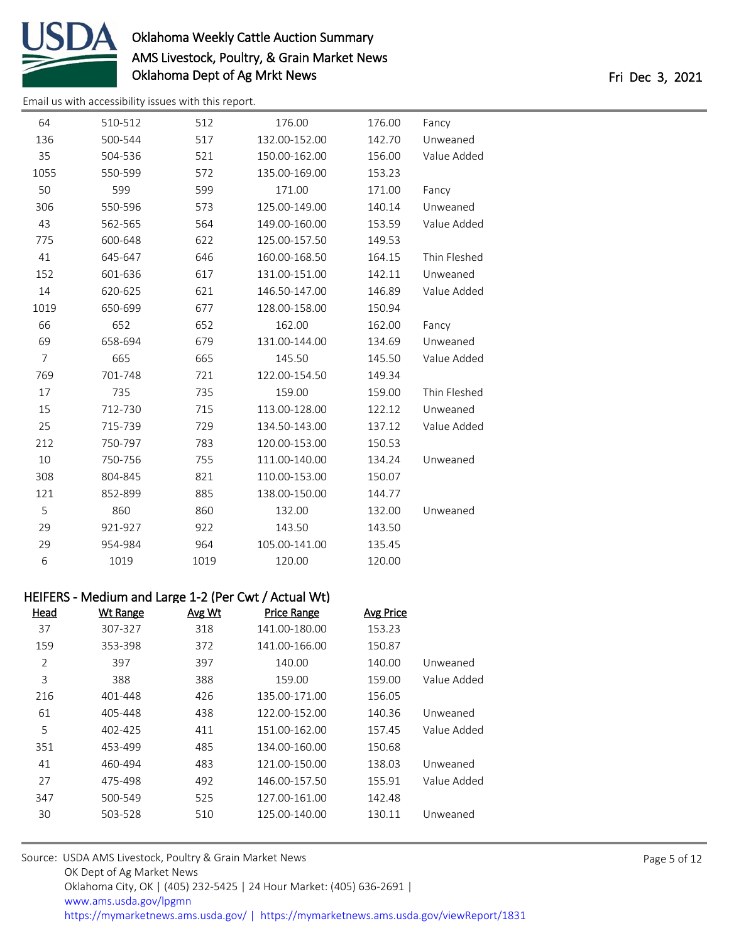

| 64             | 510-512 | 512  | 176.00        | 176.00 | Fancy        |
|----------------|---------|------|---------------|--------|--------------|
| 136            | 500-544 | 517  | 132.00-152.00 | 142.70 | Unweaned     |
| 35             | 504-536 | 521  | 150.00-162.00 | 156.00 | Value Added  |
| 1055           | 550-599 | 572  | 135.00-169.00 | 153.23 |              |
| 50             | 599     | 599  | 171.00        | 171.00 | Fancy        |
| 306            | 550-596 | 573  | 125.00-149.00 | 140.14 | Unweaned     |
| 43             | 562-565 | 564  | 149.00-160.00 | 153.59 | Value Added  |
| 775            | 600-648 | 622  | 125.00-157.50 | 149.53 |              |
| 41             | 645-647 | 646  | 160.00-168.50 | 164.15 | Thin Fleshed |
| 152            | 601-636 | 617  | 131.00-151.00 | 142.11 | Unweaned     |
| 14             | 620-625 | 621  | 146.50-147.00 | 146.89 | Value Added  |
| 1019           | 650-699 | 677  | 128.00-158.00 | 150.94 |              |
| 66             | 652     | 652  | 162.00        | 162.00 | Fancy        |
| 69             | 658-694 | 679  | 131.00-144.00 | 134.69 | Unweaned     |
| $\overline{7}$ | 665     | 665  | 145.50        | 145.50 | Value Added  |
| 769            | 701-748 | 721  | 122.00-154.50 | 149.34 |              |
| 17             | 735     | 735  | 159.00        | 159.00 | Thin Fleshed |
| 15             | 712-730 | 715  | 113.00-128.00 | 122.12 | Unweaned     |
| 25             | 715-739 | 729  | 134.50-143.00 | 137.12 | Value Added  |
| 212            | 750-797 | 783  | 120.00-153.00 | 150.53 |              |
| 10             | 750-756 | 755  | 111.00-140.00 | 134.24 | Unweaned     |
| 308            | 804-845 | 821  | 110.00-153.00 | 150.07 |              |
| 121            | 852-899 | 885  | 138.00-150.00 | 144.77 |              |
| 5              | 860     | 860  | 132.00        | 132.00 | Unweaned     |
| 29             | 921-927 | 922  | 143.50        | 143.50 |              |
| 29             | 954-984 | 964  | 105.00-141.00 | 135.45 |              |
| 6              | 1019    | 1019 | 120.00        | 120.00 |              |
|                |         |      |               |        |              |

|      |          |        | HEIFERS - Medium and Large 1-2 (Per Cwt / Actual Wt) |                  |
|------|----------|--------|------------------------------------------------------|------------------|
| Head | Wt Range | Avg Wt | Price Range                                          | <b>Avg Price</b> |

| ,,,,,, | <b>*********</b> | <u><u>AVS VVC</u></u> | 11001000      | <u><b>AVS LILL</b></u> |             |
|--------|------------------|-----------------------|---------------|------------------------|-------------|
| 37     | 307-327          | 318                   | 141.00-180.00 | 153.23                 |             |
| 159    | 353-398          | 372                   | 141.00-166.00 | 150.87                 |             |
| 2      | 397              | 397                   | 140.00        | 140.00                 | Unweaned    |
| 3      | 388              | 388                   | 159.00        | 159.00                 | Value Added |
| 216    | 401-448          | 426                   | 135.00-171.00 | 156.05                 |             |
| 61     | 405-448          | 438                   | 122.00-152.00 | 140.36                 | Unweaned    |
| 5      | 402-425          | 411                   | 151.00-162.00 | 157.45                 | Value Added |
| 351    | 453-499          | 485                   | 134.00-160.00 | 150.68                 |             |
| 41     | 460-494          | 483                   | 121.00-150.00 | 138.03                 | Unweaned    |
| 27     | 475-498          | 492                   | 146.00-157.50 | 155.91                 | Value Added |
| 347    | 500-549          | 525                   | 127.00-161.00 | 142.48                 |             |
| 30     | 503-528          | 510                   | 125.00-140.00 | 130.11                 | Unweaned    |
|        |                  |                       |               |                        |             |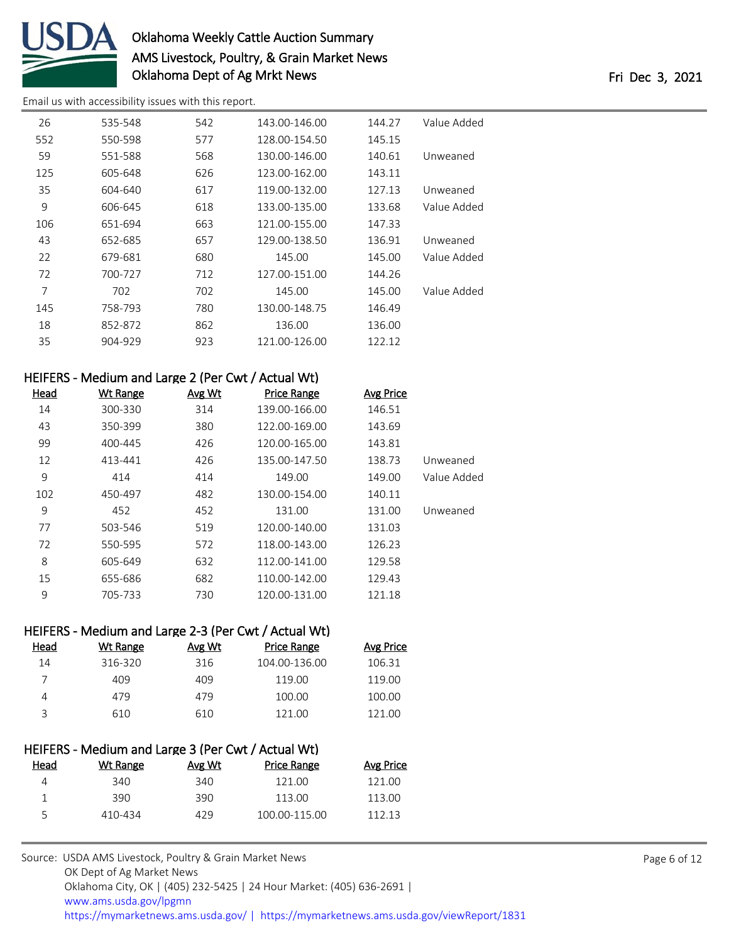

| 26  | 535-548 | 542 | 143.00-146.00 | 144.27 | Value Added |
|-----|---------|-----|---------------|--------|-------------|
| 552 | 550-598 | 577 | 128.00-154.50 | 145.15 |             |
| 59  | 551-588 | 568 | 130.00-146.00 | 140.61 | Unweaned    |
| 125 | 605-648 | 626 | 123.00-162.00 | 143.11 |             |
| 35  | 604-640 | 617 | 119.00-132.00 | 127.13 | Unweaned    |
| 9   | 606-645 | 618 | 133.00-135.00 | 133.68 | Value Added |
| 106 | 651-694 | 663 | 121.00-155.00 | 147.33 |             |
| 43  | 652-685 | 657 | 129.00-138.50 | 136.91 | Unweaned    |
| 22  | 679-681 | 680 | 145.00        | 145.00 | Value Added |
| 72  | 700-727 | 712 | 127.00-151.00 | 144.26 |             |
| 7   | 702     | 702 | 145.00        | 145.00 | Value Added |
| 145 | 758-793 | 780 | 130.00-148.75 | 146.49 |             |
| 18  | 852-872 | 862 | 136.00        | 136.00 |             |
| 35  | 904-929 | 923 | 121.00-126.00 | 122.12 |             |
|     |         |     |               |        |             |

| HEIFERS - Medium and Large 2 (Per Cwt / Actual Wt) |                 |               |               |           |             |
|----------------------------------------------------|-----------------|---------------|---------------|-----------|-------------|
| <b>Head</b>                                        | <b>Wt Range</b> | <b>Avg Wt</b> | Price Range   | Avg Price |             |
| 14                                                 | 300-330         | 314           | 139.00-166.00 | 146.51    |             |
| 43                                                 | 350-399         | 380           | 122.00-169.00 | 143.69    |             |
| 99                                                 | 400-445         | 426           | 120.00-165.00 | 143.81    |             |
| 12                                                 | 413-441         | 426           | 135.00-147.50 | 138.73    | Unweaned    |
| 9                                                  | 414             | 414           | 149.00        | 149.00    | Value Added |
| 102                                                | 450-497         | 482           | 130.00-154.00 | 140.11    |             |
| 9                                                  | 452             | 452           | 131.00        | 131.00    | Unweaned    |
| 77                                                 | 503-546         | 519           | 120.00-140.00 | 131.03    |             |
| 72                                                 | 550-595         | 572           | 118.00-143.00 | 126.23    |             |
| 8                                                  | 605-649         | 632           | 112.00-141.00 | 129.58    |             |
| 15                                                 | 655-686         | 682           | 110.00-142.00 | 129.43    |             |
| 9                                                  | 705-733         | 730           | 120.00-131.00 | 121.18    |             |

| HEIFERS - Medium and Large 2-3 (Per Cwt / Actual Wt) |          |        |               |           |
|------------------------------------------------------|----------|--------|---------------|-----------|
| Head                                                 | Wt Range | Avg Wt | Price Range   | Avg Price |
| 14                                                   | 316-320  | 316    | 104.00-136.00 | 106.31    |
|                                                      | 409      | 409    | 119.00        | 119.00    |
| 4                                                    | 479      | 479    | 100.00        | 100.00    |
| ₹                                                    | 610      | 610    | 121.00        | 121.00    |
|                                                      |          |        |               |           |

| HEIFERS - Medium and Large 3 (Per Cwt / Actual Wt) |        |               |           |  |  |
|----------------------------------------------------|--------|---------------|-----------|--|--|
| Wt Range                                           | Avg Wt | Price Range   | Avg Price |  |  |
| 340                                                | 340    | 121.00        | 121.00    |  |  |
| 390                                                | 390    | 113.00        | 113.00    |  |  |
| 410-434                                            | 429    | 100.00-115.00 | 112.13    |  |  |
|                                                    |        |               |           |  |  |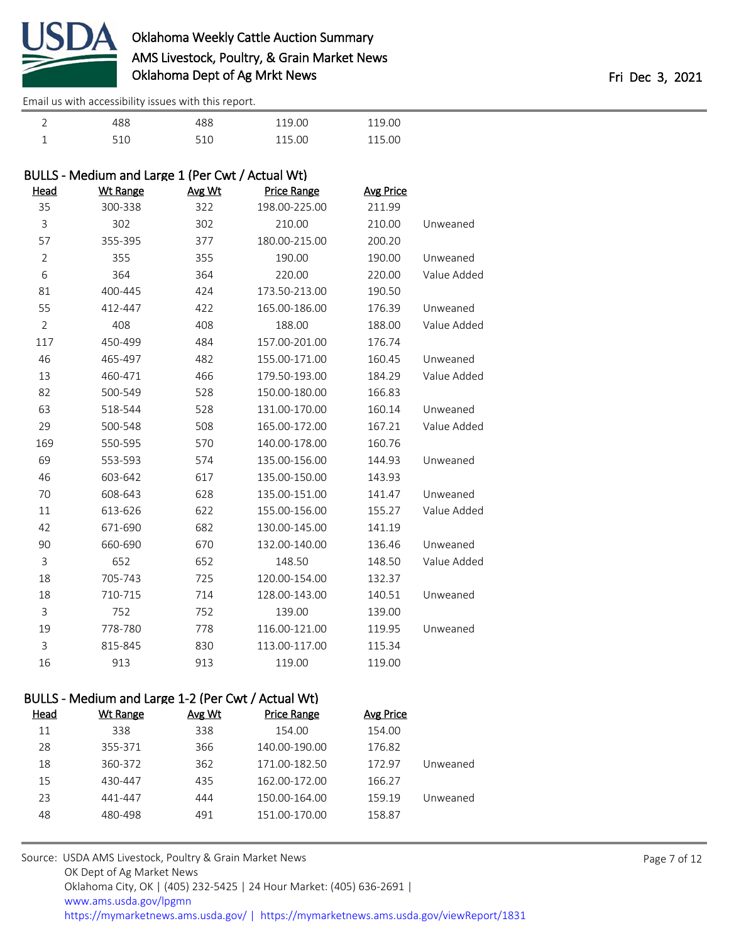

[Email us with accessibility issues with this report.](mailto:mars@ams.usda.gov?subject=508%20issue)

| 488 | 488 | 119.00 | 119.00 |
|-----|-----|--------|--------|
| 510 | 510 | 115.00 | 115.00 |

## BULLS - Medium and Large 1 (Per Cwt / Actual Wt)

| <b>Head</b>    | <b>Wt Range</b> | Avg Wt | <b>Price Range</b> | <b>Avg Price</b> |             |
|----------------|-----------------|--------|--------------------|------------------|-------------|
| 35             | 300-338         | 322    | 198.00-225.00      | 211.99           |             |
| 3              | 302             | 302    | 210.00             | 210.00           | Unweaned    |
| 57             | 355-395         | 377    | 180.00-215.00      | 200.20           |             |
| $\overline{2}$ | 355             | 355    | 190.00             | 190.00           | Unweaned    |
| 6              | 364             | 364    | 220.00             | 220.00           | Value Added |
| 81             | 400-445         | 424    | 173.50-213.00      | 190.50           |             |
| 55             | 412-447         | 422    | 165.00-186.00      | 176.39           | Unweaned    |
| $\overline{2}$ | 408             | 408    | 188.00             | 188.00           | Value Added |
| 117            | 450-499         | 484    | 157.00-201.00      | 176.74           |             |
| 46             | 465-497         | 482    | 155.00-171.00      | 160.45           | Unweaned    |
| 13             | 460-471         | 466    | 179.50-193.00      | 184.29           | Value Added |
| 82             | 500-549         | 528    | 150.00-180.00      | 166.83           |             |
| 63             | 518-544         | 528    | 131.00-170.00      | 160.14           | Unweaned    |
| 29             | 500-548         | 508    | 165.00-172.00      | 167.21           | Value Added |
| 169            | 550-595         | 570    | 140.00-178.00      | 160.76           |             |
| 69             | 553-593         | 574    | 135.00-156.00      | 144.93           | Unweaned    |
| 46             | 603-642         | 617    | 135.00-150.00      | 143.93           |             |
| 70             | 608-643         | 628    | 135.00-151.00      | 141.47           | Unweaned    |
| 11             | 613-626         | 622    | 155.00-156.00      | 155.27           | Value Added |
| 42             | 671-690         | 682    | 130.00-145.00      | 141.19           |             |
| 90             | 660-690         | 670    | 132.00-140.00      | 136.46           | Unweaned    |
| 3              | 652             | 652    | 148.50             | 148.50           | Value Added |
| 18             | 705-743         | 725    | 120.00-154.00      | 132.37           |             |
| 18             | 710-715         | 714    | 128.00-143.00      | 140.51           | Unweaned    |
| 3              | 752             | 752    | 139.00             | 139.00           |             |
| 19             | 778-780         | 778    | 116.00-121.00      | 119.95           | Unweaned    |
| 3              | 815-845         | 830    | 113.00-117.00      | 115.34           |             |
| 16             | 913             | 913    | 119.00             | 119.00           |             |

### BULLS - Medium and Large 1-2 (Per Cwt / Actual Wt)

| Head | Wt Range | Avg Wt | <b>Price Range</b> | Avg Price |          |
|------|----------|--------|--------------------|-----------|----------|
| 11   | 338      | 338    | 154.00             | 154.00    |          |
| 28   | 355-371  | 366    | 140.00-190.00      | 176.82    |          |
| 18   | 360-372  | 362    | 171.00-182.50      | 172.97    | Unweaned |
| 15   | 430-447  | 435    | 162.00-172.00      | 166.27    |          |
| 23   | 441-447  | 444    | 150.00-164.00      | 159.19    | Unweaned |
| 48   | 480-498  | 491    | 151.00-170.00      | 158.87    |          |
|      |          |        |                    |           |          |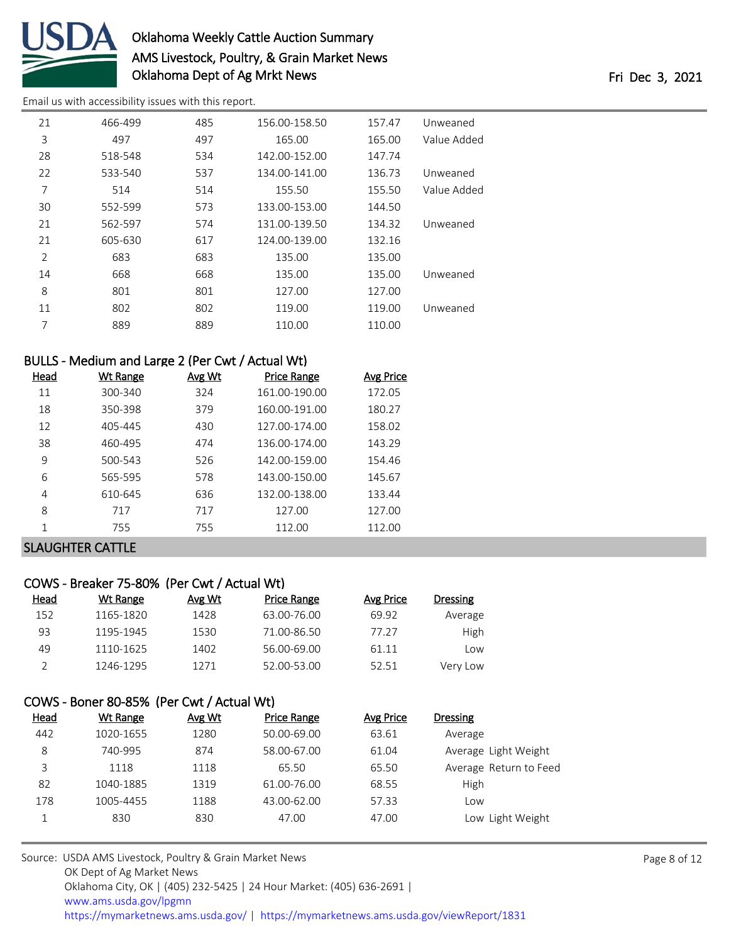

[Email us with accessibility issues with this report.](mailto:mars@ams.usda.gov?subject=508%20issue)

| 21             | 466-499 | 485 | 156.00-158.50 | 157.47 | Unweaned    |
|----------------|---------|-----|---------------|--------|-------------|
| 3              | 497     | 497 | 165.00        | 165.00 | Value Added |
| 28             | 518-548 | 534 | 142.00-152.00 | 147.74 |             |
| 22             | 533-540 | 537 | 134.00-141.00 | 136.73 | Unweaned    |
| 7              | 514     | 514 | 155.50        | 155.50 | Value Added |
| 30             | 552-599 | 573 | 133.00-153.00 | 144.50 |             |
| 21             | 562-597 | 574 | 131.00-139.50 | 134.32 | Unweaned    |
| 21             | 605-630 | 617 | 124.00-139.00 | 132.16 |             |
| $\overline{2}$ | 683     | 683 | 135.00        | 135.00 |             |
| 14             | 668     | 668 | 135.00        | 135.00 | Unweaned    |
| 8              | 801     | 801 | 127.00        | 127.00 |             |
| 11             | 802     | 802 | 119.00        | 119.00 | Unweaned    |
| 7              | 889     | 889 | 110.00        | 110.00 |             |

## BULLS - Medium and Large 2 (Per Cwt / Actual Wt)

| Head | Wt Range | Avg Wt | <b>Price Range</b> | Avg Price |
|------|----------|--------|--------------------|-----------|
| 11   | 300-340  | 324    | 161.00-190.00      | 172.05    |
| 18   | 350-398  | 379    | 160.00-191.00      | 180.27    |
| 12   | 405-445  | 430    | 127.00-174.00      | 158.02    |
| 38   | 460-495  | 474    | 136.00-174.00      | 143.29    |
| 9    | 500-543  | 526    | 142.00-159.00      | 154.46    |
| 6    | 565-595  | 578    | 143.00-150.00      | 145.67    |
| 4    | 610-645  | 636    | 132.00-138.00      | 133.44    |
| 8    | 717      | 717    | 127.00             | 127.00    |
| 1    | 755      | 755    | 112.00             | 112.00    |
|      |          |        |                    |           |

## SLAUGHTER CATTLE

### COWS - Breaker 75-80% (Per Cwt / Actual Wt)

| Head | Wt Range  | Avg Wt | Price Range | Avg Price | Dressing |
|------|-----------|--------|-------------|-----------|----------|
| 152  | 1165-1820 | 1428   | 63.00-76.00 | 69.92     | Average  |
| 93   | 1195-1945 | 1530   | 71.00-86.50 | 77.27     | High     |
| 49   | 1110-1625 | 1402   | 56.00-69.00 | 61.11     | Low      |
|      | 1246-1295 | 1271   | 52.00-53.00 | 52.51     | Very Low |

### COWS - Boner 80-85% (Per Cwt / Actual Wt)

| <u>Head</u> | Wt Range  | Avg Wt | Price Range | Avg Price | Dressing               |
|-------------|-----------|--------|-------------|-----------|------------------------|
| 442         | 1020-1655 | 1280   | 50.00-69.00 | 63.61     | Average                |
| 8           | 740-995   | 874    | 58.00-67.00 | 61.04     | Average Light Weight   |
| 3           | 1118      | 1118   | 65.50       | 65.50     | Average Return to Feed |
| 82          | 1040-1885 | 1319   | 61.00-76.00 | 68.55     | High                   |
| 178         | 1005-4455 | 1188   | 43.00-62.00 | 57.33     | Low                    |
|             | 830       | 830    | 47.00       | 47.00     | Low Light Weight       |
|             |           |        |             |           |                        |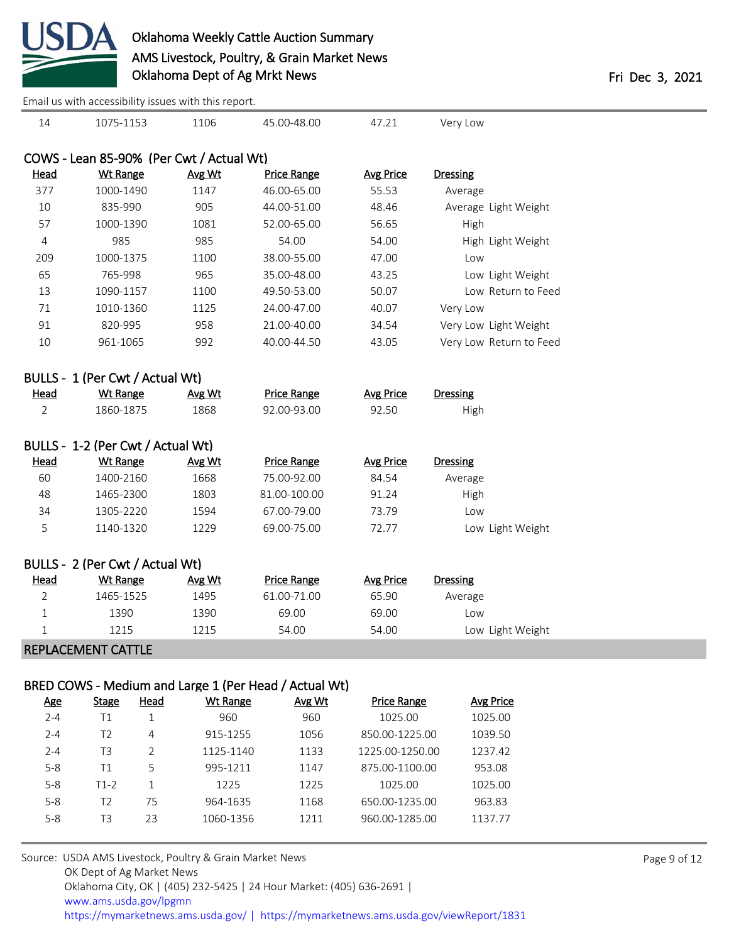

[Email us with accessibility issues with this report.](mailto:mars@ams.usda.gov?subject=508%20issue)

| 14                                       | 1075-1153                         | 1106   | 45.00-48.00        | 47.21            | Very Low                |  |  |  |  |
|------------------------------------------|-----------------------------------|--------|--------------------|------------------|-------------------------|--|--|--|--|
|                                          |                                   |        |                    |                  |                         |  |  |  |  |
| COWS - Lean 85-90% (Per Cwt / Actual Wt) |                                   |        |                    |                  |                         |  |  |  |  |
| Head                                     | <b>Wt Range</b>                   | Avg Wt | <b>Price Range</b> | <b>Avg Price</b> | <b>Dressing</b>         |  |  |  |  |
| 377                                      | 1000-1490                         | 1147   | 46.00-65.00        | 55.53            | Average                 |  |  |  |  |
| 10                                       | 835-990                           | 905    | 44.00-51.00        | 48.46            | Average Light Weight    |  |  |  |  |
| 57                                       | 1000-1390                         | 1081   | 52.00-65.00        | 56.65            | High                    |  |  |  |  |
| $\overline{4}$                           | 985                               | 985    | 54.00              | 54.00            | High Light Weight       |  |  |  |  |
| 209                                      | 1000-1375                         | 1100   | 38.00-55.00        | 47.00            | Low                     |  |  |  |  |
| 65                                       | 765-998                           | 965    | 35.00-48.00        | 43.25            | Low Light Weight        |  |  |  |  |
| 13                                       | 1090-1157                         | 1100   | 49.50-53.00        | 50.07            | Low Return to Feed      |  |  |  |  |
| 71                                       | 1010-1360                         | 1125   | 24.00-47.00        | 40.07            | Very Low                |  |  |  |  |
| 91                                       | 820-995                           | 958    | 21.00-40.00        | 34.54            | Very Low Light Weight   |  |  |  |  |
| 10                                       | 961-1065                          | 992    | 40.00-44.50        | 43.05            | Very Low Return to Feed |  |  |  |  |
|                                          | BULLS - 1 (Per Cwt / Actual Wt)   |        |                    |                  |                         |  |  |  |  |
| <b>Head</b>                              | <b>Wt Range</b>                   | Avg Wt | <b>Price Range</b> | <b>Avg Price</b> | <b>Dressing</b>         |  |  |  |  |
| $\overline{2}$                           | 1860-1875                         | 1868   | 92.00-93.00        | 92.50            | High                    |  |  |  |  |
|                                          | BULLS - 1-2 (Per Cwt / Actual Wt) |        |                    |                  |                         |  |  |  |  |
| Head                                     | <b>Wt Range</b>                   | Avg Wt | <b>Price Range</b> | <b>Avg Price</b> | <b>Dressing</b>         |  |  |  |  |
| 60                                       | 1400-2160                         | 1668   | 75.00-92.00        | 84.54            | Average                 |  |  |  |  |
| 48                                       | 1465-2300                         | 1803   | 81.00-100.00       | 91.24            | High                    |  |  |  |  |
| 34                                       | 1305-2220                         | 1594   | 67.00-79.00        | 73.79            | Low                     |  |  |  |  |
| 5                                        | 1140-1320                         | 1229   | 69.00-75.00        | 72.77            | Low Light Weight        |  |  |  |  |
|                                          | BULLS - 2 (Per Cwt / Actual Wt)   |        |                    |                  |                         |  |  |  |  |
| Head                                     | <b>Wt Range</b>                   | Avg Wt | <b>Price Range</b> | <b>Avg Price</b> | <b>Dressing</b>         |  |  |  |  |
| 2                                        | 1465-1525                         | 1495   | 61.00-71.00        | 65.90            | Average                 |  |  |  |  |
| 1                                        | 1390                              | 1390   | 69.00              | 69.00            | Low                     |  |  |  |  |
| $\mathbf{1}$                             | 1215                              | 1215   | 54.00              | 54.00            | Low Light Weight        |  |  |  |  |
|                                          | <b>REPLACEMENT CATTLE</b>         |        |                    |                  |                         |  |  |  |  |
|                                          |                                   |        |                    |                  |                         |  |  |  |  |

### BRED COWS - Medium and Large 1 (Per Head / Actual Wt)

| <u>Age</u> | <b>Stage</b>   | Head | Wt Range  | Avg Wt | <b>Price Range</b> | Avg Price |
|------------|----------------|------|-----------|--------|--------------------|-----------|
| $2 - 4$    | Τ1             |      | 960       | 960    | 1025.00            | 1025.00   |
| $2 - 4$    | T2             | 4    | 915-1255  | 1056   | 850.00-1225.00     | 1039.50   |
| $2 - 4$    | T <sub>3</sub> |      | 1125-1140 | 1133   | 1225.00-1250.00    | 1237.42   |
| $5 - 8$    | Τ1             | 5    | 995-1211  | 1147   | 875.00-1100.00     | 953.08    |
| $5 - 8$    | T1-2           |      | 1225      | 1225   | 1025.00            | 1025.00   |
| $5 - 8$    | T2             | 75   | 964-1635  | 1168   | 650.00-1235.00     | 963.83    |
| $5 - 8$    | T3             | 23   | 1060-1356 | 1211   | 960.00-1285.00     | 1137.77   |
|            |                |      |           |        |                    |           |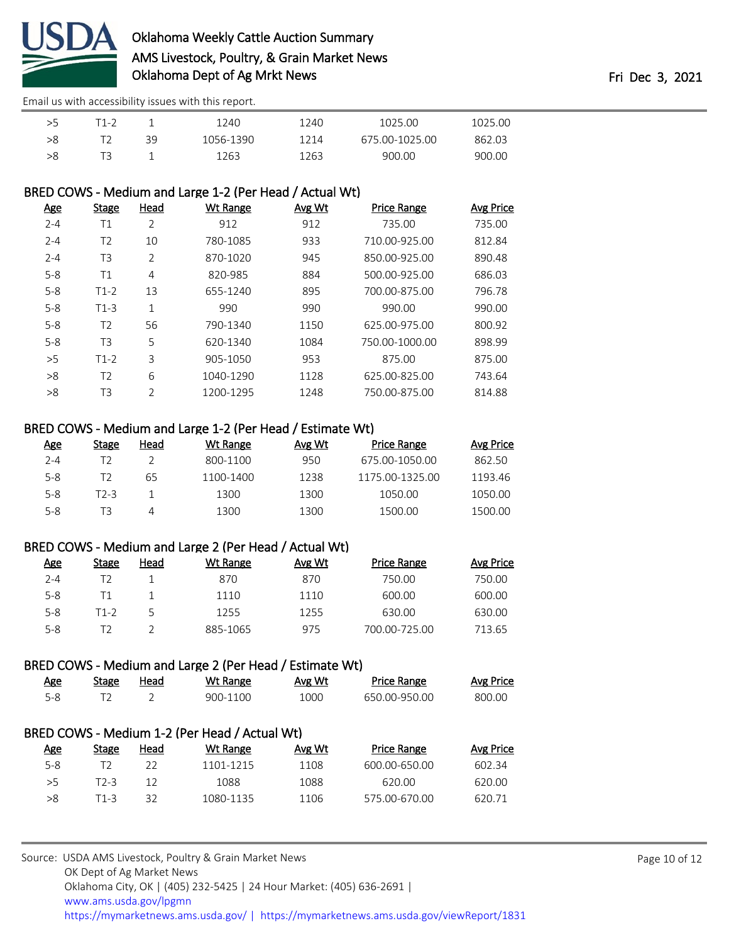

[Email us with accessibility issues with this report.](mailto:mars@ams.usda.gov?subject=508%20issue)

|    | $1 - \epsilon$ |    | 1240      | 1240 | 1025.00        | 1025.00 |
|----|----------------|----|-----------|------|----------------|---------|
| >8 |                | 39 | 1056-1390 | 1214 | 675.00-1025.00 | 862.03  |
|    |                |    | 1263      | 1263 | 900.00         | 900.00  |

### BRED COWS - Medium and Large 1-2 (Per Head / Actual Wt)

| <u>Age</u> | <b>Stage</b>   | Head           | Wt Range  | Avg Wt | <b>Price Range</b> | <b>Avg Price</b> |
|------------|----------------|----------------|-----------|--------|--------------------|------------------|
| $2 - 4$    | Τ1             | 2              | 912       | 912    | 735.00             | 735.00           |
| $2 - 4$    | T2             | 10             | 780-1085  | 933    | 710.00-925.00      | 812.84           |
| $2 - 4$    | T3             | 2              | 870-1020  | 945    | 850.00-925.00      | 890.48           |
| $5 - 8$    | T1             | 4              | 820-985   | 884    | 500.00-925.00      | 686.03           |
| $5 - 8$    | $T1-2$         | 13             | 655-1240  | 895    | 700.00-875.00      | 796.78           |
| $5 - 8$    | $T1-3$         | 1              | 990       | 990    | 990.00             | 990.00           |
| $5 - 8$    | T <sub>2</sub> | 56             | 790-1340  | 1150   | 625.00-975.00      | 800.92           |
| $5 - 8$    | T3             | 5              | 620-1340  | 1084   | 750.00-1000.00     | 898.99           |
| >5         | $T1-2$         | 3              | 905-1050  | 953    | 875.00             | 875.00           |
| >8         | T <sub>2</sub> | 6              | 1040-1290 | 1128   | 625.00-825.00      | 743.64           |
| >8         | T3             | $\overline{2}$ | 1200-1295 | 1248   | 750.00-875.00      | 814.88           |
|            |                |                |           |        |                    |                  |

#### BRED COWS - Medium and Large 1-2 (Per Head / Estimate Wt)

| Age     | <b>Stage</b> | Head | Wt Range  | Avg Wt | <b>Price Range</b> | <b>Avg Price</b> |
|---------|--------------|------|-----------|--------|--------------------|------------------|
| $2 - 4$ |              |      | 800-1100  | 950    | 675.00-1050.00     | 862.50           |
| $5 - 8$ |              | 65   | 1100-1400 | 1238   | 1175.00-1325.00    | 1193.46          |
| $5 - 8$ | T2-3         |      | 1300      | 1300   | 1050.00            | 1050.00          |
| $5 - 8$ | ΤЗ           | 4    | 1300      | 1300   | 1500.00            | 1500.00          |

#### BRED COWS - Medium and Large 2 (Per Head / Actual Wt)

| <b>Age</b> | <b>Stage</b> | Head | Wt Range | Avg Wt | <b>Price Range</b> | Avg Price |
|------------|--------------|------|----------|--------|--------------------|-----------|
| $2 - 4$    |              |      | 870      | 870    | 750.00             | 750.00    |
| $5 - 8$    |              |      | 1110     | 1110   | 600.00             | 600.00    |
| $5 - 8$    | T1-2         |      | 1255     | 1255   | 630.00             | 630.00    |
| $5 - 8$    |              |      | 885-1065 | 975    | 700.00-725.00      | 713.65    |

### BRED COWS - Medium and Large 2 (Per Head / Estimate Wt)

| Age                                           | Stage | Head | Wt Range | Avg Wt | <b>Price Range</b> | Avg Price |  |  |
|-----------------------------------------------|-------|------|----------|--------|--------------------|-----------|--|--|
| 5-8                                           |       |      | 900-1100 | 1000   | 650.00-950.00      | 800.00    |  |  |
|                                               |       |      |          |        |                    |           |  |  |
| BRED COWS - Medium 1-2 (Per Head / Actual Wt) |       |      |          |        |                    |           |  |  |

| <u>Age</u> | Stage | Head | Wt Range  | Avg Wt | <b>Price Range</b> | Avg Price |
|------------|-------|------|-----------|--------|--------------------|-----------|
| $5 - 8$    |       | 22   | 1101-1215 | 1108   | 600.00-650.00      | 602.34    |
| > 5        | T2-3  | 12   | 1088      | 1088   | 620.00             | 620.00    |
| >8         | T1-3  | 32   | 1080-1135 | 1106   | 575.00-670.00      | 620.71    |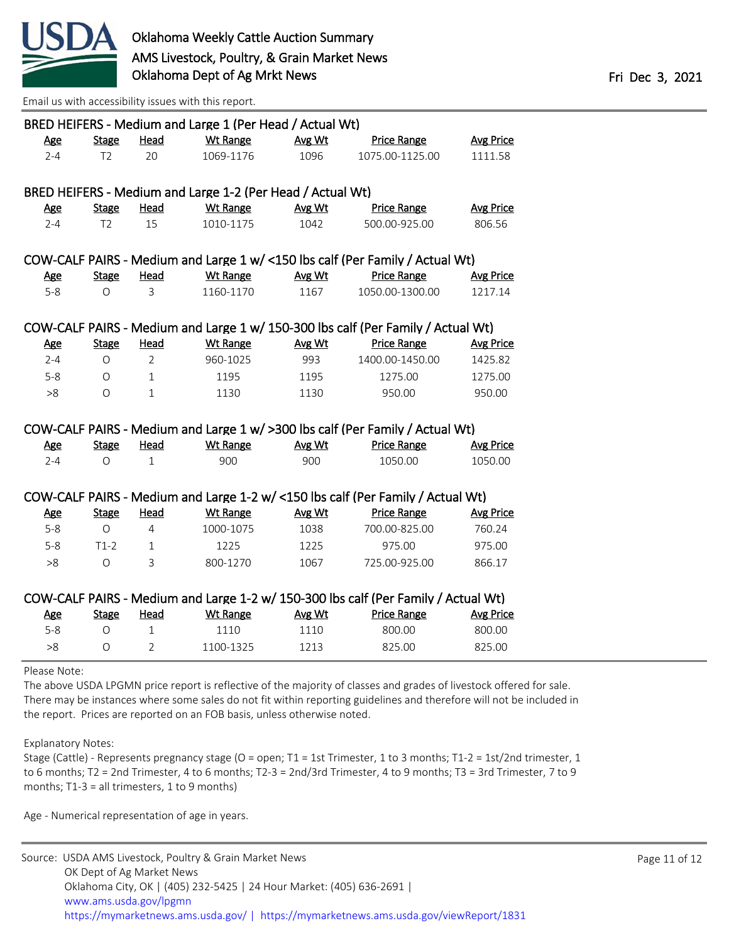

[Email us with accessibility issues with this report.](mailto:mars@ams.usda.gov?subject=508%20issue)

| BRED HEIFERS - Medium and Large 1 (Per Head / Actual Wt) |                |                |                                                            |        |                                                                                    |                  |  |
|----------------------------------------------------------|----------------|----------------|------------------------------------------------------------|--------|------------------------------------------------------------------------------------|------------------|--|
| Age                                                      | <b>Stage</b>   | Head           | <b>Wt Range</b>                                            | Avg Wt | <b>Price Range</b>                                                                 | <b>Avg Price</b> |  |
| $2 - 4$                                                  | T <sub>2</sub> | 20             | 1069-1176                                                  | 1096   | 1075.00-1125.00                                                                    | 1111.58          |  |
|                                                          |                |                |                                                            |        |                                                                                    |                  |  |
|                                                          |                |                | BRED HEIFERS - Medium and Large 1-2 (Per Head / Actual Wt) |        |                                                                                    |                  |  |
| <b>Age</b>                                               | <b>Stage</b>   | Head           | <b>Wt Range</b>                                            | Avg Wt | <b>Price Range</b>                                                                 | <b>Avg Price</b> |  |
| $2 - 4$                                                  | T <sub>2</sub> | 15             | 1010-1175                                                  | 1042   | 500.00-925.00                                                                      | 806.56           |  |
|                                                          |                |                |                                                            |        |                                                                                    |                  |  |
|                                                          |                |                |                                                            |        | COW-CALF PAIRS - Medium and Large 1 w/ <150 lbs calf (Per Family / Actual Wt)      |                  |  |
| <u>Age</u>                                               | <b>Stage</b>   | Head           | Wt Range                                                   | Avg Wt | <b>Price Range</b>                                                                 | <b>Avg Price</b> |  |
| $5 - 8$                                                  | $\Omega$       | 3              | 1160-1170                                                  | 1167   | 1050.00-1300.00                                                                    | 1217.14          |  |
|                                                          |                |                |                                                            |        |                                                                                    |                  |  |
|                                                          |                |                |                                                            |        | COW-CALF PAIRS - Medium and Large 1 w/ 150-300 lbs calf (Per Family / Actual Wt)   |                  |  |
| <u>Age</u>                                               | <b>Stage</b>   | <b>Head</b>    | <b>Wt Range</b>                                            | Avg Wt | <b>Price Range</b>                                                                 | <b>Avg Price</b> |  |
| $2 - 4$                                                  | $\circ$        | $\overline{2}$ | 960-1025                                                   | 993    | 1400.00-1450.00                                                                    | 1425.82          |  |
| $5 - 8$                                                  | O              | $\mathbf{1}$   | 1195                                                       | 1195   | 1275.00                                                                            | 1275.00          |  |
| >8                                                       | $\circ$        | $\mathbf{1}$   | 1130                                                       | 1130   | 950.00                                                                             | 950.00           |  |
|                                                          |                |                |                                                            |        |                                                                                    |                  |  |
|                                                          |                |                |                                                            |        | COW-CALF PAIRS - Medium and Large 1 w/ > 300 lbs calf (Per Family / Actual Wt)     |                  |  |
| Age                                                      | <b>Stage</b>   | Head           | Wt Range                                                   | Avg Wt | <b>Price Range</b>                                                                 | <b>Avg Price</b> |  |
| $2 - 4$                                                  | $\circ$        | $\mathbf{1}$   | 900                                                        | 900    | 1050.00                                                                            | 1050.00          |  |
|                                                          |                |                |                                                            |        |                                                                                    |                  |  |
|                                                          |                |                |                                                            |        | COW-CALF PAIRS - Medium and Large 1-2 w/ <150 lbs calf (Per Family / Actual Wt)    |                  |  |
| <b>Age</b>                                               | <b>Stage</b>   | Head           | <b>Wt Range</b>                                            | Avg Wt | <b>Price Range</b>                                                                 | <b>Avg Price</b> |  |
| $5 - 8$                                                  | $\Omega$       | 4              | 1000-1075                                                  | 1038   | 700.00-825.00                                                                      | 760.24           |  |
| $5 - 8$                                                  | $T1-2$         | $\mathbf{1}$   | 1225                                                       | 1225   | 975.00                                                                             | 975.00           |  |
| >8                                                       | $\circ$        | 3              | 800-1270                                                   | 1067   | 725.00-925.00                                                                      | 866.17           |  |
|                                                          |                |                |                                                            |        |                                                                                    |                  |  |
|                                                          |                |                |                                                            |        | COW-CALF PAIRS - Medium and Large 1-2 w/ 150-300 lbs calf (Per Family / Actual Wt) |                  |  |
| <b>Age</b>                                               | <b>Stage</b>   | Head           | <b>Wt Range</b>                                            | Avg Wt | <b>Price Range</b>                                                                 | <b>Avg Price</b> |  |
| $5 - 8$                                                  | $\circ$        | $\mathbf{1}$   | 1110                                                       | 1110   | 800.00                                                                             | 800.00           |  |
| >8                                                       | $\Omega$       | $\overline{2}$ | 1100-1325                                                  | 1213   | 825.00                                                                             | 825.00           |  |

Please Note:

The above USDA LPGMN price report is reflective of the majority of classes and grades of livestock offered for sale. There may be instances where some sales do not fit within reporting guidelines and therefore will not be included in the report. Prices are reported on an FOB basis, unless otherwise noted.

Explanatory Notes:

Stage (Cattle) - Represents pregnancy stage (O = open; T1 = 1st Trimester, 1 to 3 months; T1-2 = 1st/2nd trimester, 1 to 6 months; T2 = 2nd Trimester, 4 to 6 months; T2-3 = 2nd/3rd Trimester, 4 to 9 months; T3 = 3rd Trimester, 7 to 9 months; T1-3 = all trimesters, 1 to 9 months)

Age - Numerical representation of age in years.